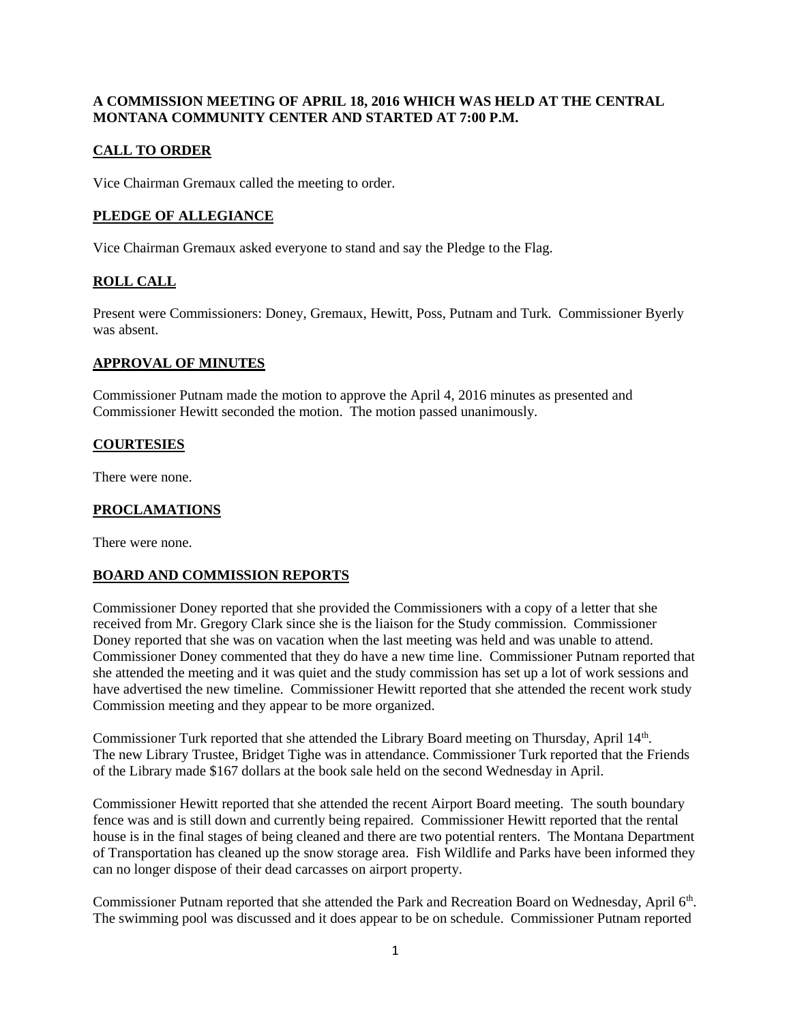### **A COMMISSION MEETING OF APRIL 18, 2016 WHICH WAS HELD AT THE CENTRAL MONTANA COMMUNITY CENTER AND STARTED AT 7:00 P.M.**

# **CALL TO ORDER**

Vice Chairman Gremaux called the meeting to order.

### **PLEDGE OF ALLEGIANCE**

Vice Chairman Gremaux asked everyone to stand and say the Pledge to the Flag.

### **ROLL CALL**

Present were Commissioners: Doney, Gremaux, Hewitt, Poss, Putnam and Turk. Commissioner Byerly was absent.

### **APPROVAL OF MINUTES**

Commissioner Putnam made the motion to approve the April 4, 2016 minutes as presented and Commissioner Hewitt seconded the motion. The motion passed unanimously.

#### **COURTESIES**

There were none.

#### **PROCLAMATIONS**

There were none.

### **BOARD AND COMMISSION REPORTS**

Commissioner Doney reported that she provided the Commissioners with a copy of a letter that she received from Mr. Gregory Clark since she is the liaison for the Study commission. Commissioner Doney reported that she was on vacation when the last meeting was held and was unable to attend. Commissioner Doney commented that they do have a new time line. Commissioner Putnam reported that she attended the meeting and it was quiet and the study commission has set up a lot of work sessions and have advertised the new timeline. Commissioner Hewitt reported that she attended the recent work study Commission meeting and they appear to be more organized.

Commissioner Turk reported that she attended the Library Board meeting on Thursday, April 14<sup>th</sup>. The new Library Trustee, Bridget Tighe was in attendance. Commissioner Turk reported that the Friends of the Library made \$167 dollars at the book sale held on the second Wednesday in April.

Commissioner Hewitt reported that she attended the recent Airport Board meeting. The south boundary fence was and is still down and currently being repaired. Commissioner Hewitt reported that the rental house is in the final stages of being cleaned and there are two potential renters. The Montana Department of Transportation has cleaned up the snow storage area. Fish Wildlife and Parks have been informed they can no longer dispose of their dead carcasses on airport property.

Commissioner Putnam reported that she attended the Park and Recreation Board on Wednesday, April 6<sup>th</sup>. The swimming pool was discussed and it does appear to be on schedule. Commissioner Putnam reported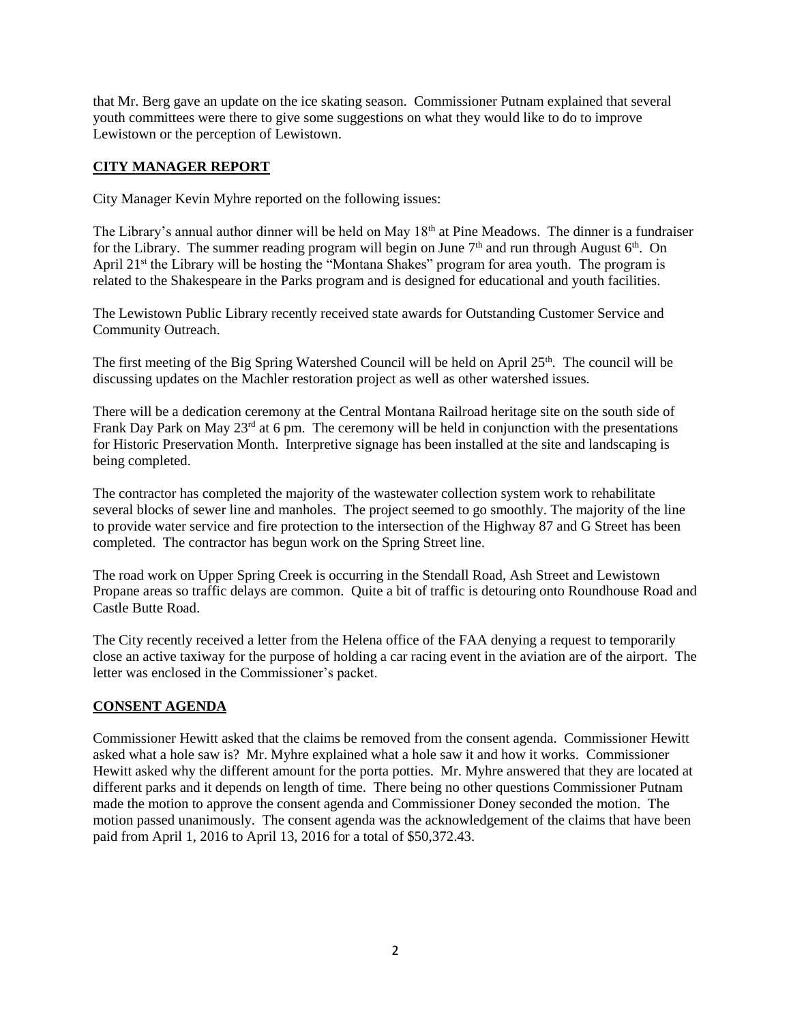that Mr. Berg gave an update on the ice skating season. Commissioner Putnam explained that several youth committees were there to give some suggestions on what they would like to do to improve Lewistown or the perception of Lewistown.

# **CITY MANAGER REPORT**

City Manager Kevin Myhre reported on the following issues:

The Library's annual author dinner will be held on May 18<sup>th</sup> at Pine Meadows. The dinner is a fundraiser for the Library. The summer reading program will begin on June  $7<sup>th</sup>$  and run through August  $6<sup>th</sup>$ . On April 21<sup>st</sup> the Library will be hosting the "Montana Shakes" program for area youth. The program is related to the Shakespeare in the Parks program and is designed for educational and youth facilities.

The Lewistown Public Library recently received state awards for Outstanding Customer Service and Community Outreach.

The first meeting of the Big Spring Watershed Council will be held on April 25<sup>th</sup>. The council will be discussing updates on the Machler restoration project as well as other watershed issues.

There will be a dedication ceremony at the Central Montana Railroad heritage site on the south side of Frank Day Park on May 23<sup>rd</sup> at 6 pm. The ceremony will be held in conjunction with the presentations for Historic Preservation Month. Interpretive signage has been installed at the site and landscaping is being completed.

The contractor has completed the majority of the wastewater collection system work to rehabilitate several blocks of sewer line and manholes. The project seemed to go smoothly. The majority of the line to provide water service and fire protection to the intersection of the Highway 87 and G Street has been completed. The contractor has begun work on the Spring Street line.

The road work on Upper Spring Creek is occurring in the Stendall Road, Ash Street and Lewistown Propane areas so traffic delays are common. Quite a bit of traffic is detouring onto Roundhouse Road and Castle Butte Road.

The City recently received a letter from the Helena office of the FAA denying a request to temporarily close an active taxiway for the purpose of holding a car racing event in the aviation are of the airport. The letter was enclosed in the Commissioner's packet.

## **CONSENT AGENDA**

Commissioner Hewitt asked that the claims be removed from the consent agenda. Commissioner Hewitt asked what a hole saw is? Mr. Myhre explained what a hole saw it and how it works. Commissioner Hewitt asked why the different amount for the porta potties. Mr. Myhre answered that they are located at different parks and it depends on length of time. There being no other questions Commissioner Putnam made the motion to approve the consent agenda and Commissioner Doney seconded the motion. The motion passed unanimously. The consent agenda was the acknowledgement of the claims that have been paid from April 1, 2016 to April 13, 2016 for a total of \$50,372.43.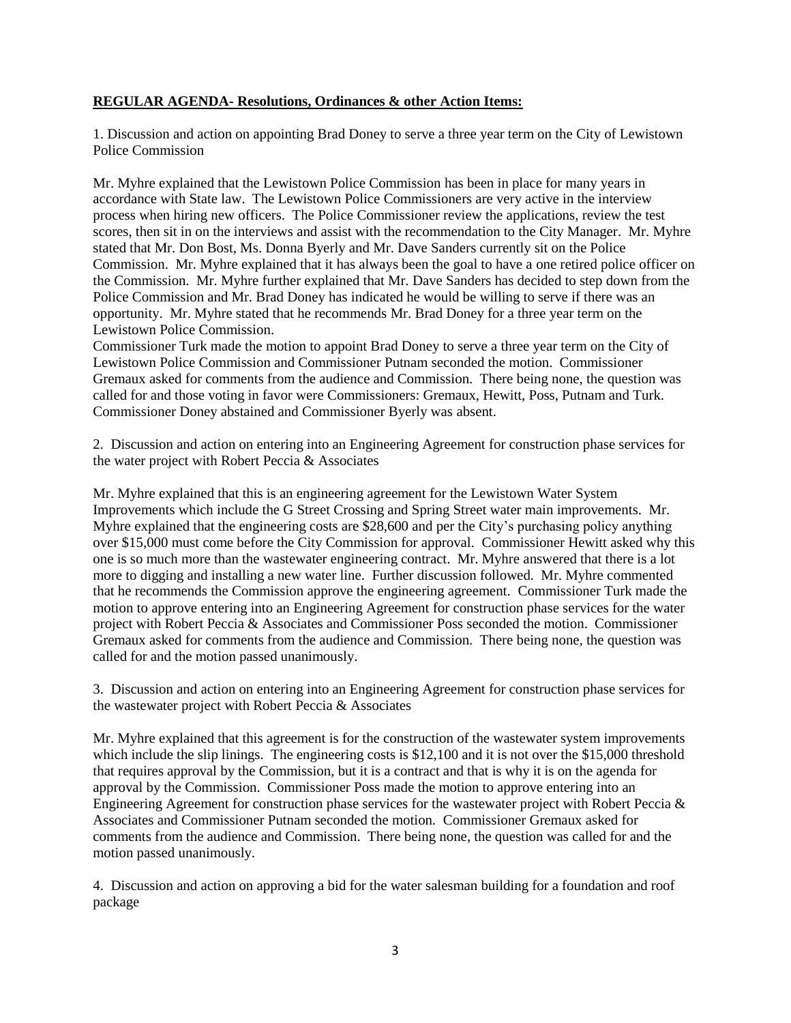### **REGULAR AGENDA- Resolutions, Ordinances & other Action Items:**

1. Discussion and action on appointing Brad Doney to serve a three year term on the City of Lewistown Police Commission

Mr. Myhre explained that the Lewistown Police Commission has been in place for many years in accordance with State law. The Lewistown Police Commissioners are very active in the interview process when hiring new officers. The Police Commissioner review the applications, review the test scores, then sit in on the interviews and assist with the recommendation to the City Manager. Mr. Myhre stated that Mr. Don Bost, Ms. Donna Byerly and Mr. Dave Sanders currently sit on the Police Commission. Mr. Myhre explained that it has always been the goal to have a one retired police officer on the Commission. Mr. Myhre further explained that Mr. Dave Sanders has decided to step down from the Police Commission and Mr. Brad Doney has indicated he would be willing to serve if there was an opportunity. Mr. Myhre stated that he recommends Mr. Brad Doney for a three year term on the Lewistown Police Commission.

Commissioner Turk made the motion to appoint Brad Doney to serve a three year term on the City of Lewistown Police Commission and Commissioner Putnam seconded the motion. Commissioner Gremaux asked for comments from the audience and Commission. There being none, the question was called for and those voting in favor were Commissioners: Gremaux, Hewitt, Poss, Putnam and Turk. Commissioner Doney abstained and Commissioner Byerly was absent.

2. Discussion and action on entering into an Engineering Agreement for construction phase services for the water project with Robert Peccia & Associates

Mr. Myhre explained that this is an engineering agreement for the Lewistown Water System Improvements which include the G Street Crossing and Spring Street water main improvements. Mr. Myhre explained that the engineering costs are \$28,600 and per the City's purchasing policy anything over \$15,000 must come before the City Commission for approval. Commissioner Hewitt asked why this one is so much more than the wastewater engineering contract. Mr. Myhre answered that there is a lot more to digging and installing a new water line. Further discussion followed. Mr. Myhre commented that he recommends the Commission approve the engineering agreement. Commissioner Turk made the motion to approve entering into an Engineering Agreement for construction phase services for the water project with Robert Peccia & Associates and Commissioner Poss seconded the motion. Commissioner Gremaux asked for comments from the audience and Commission. There being none, the question was called for and the motion passed unanimously.

3. Discussion and action on entering into an Engineering Agreement for construction phase services for the wastewater project with Robert Peccia & Associates

Mr. Myhre explained that this agreement is for the construction of the wastewater system improvements which include the slip linings. The engineering costs is \$12,100 and it is not over the \$15,000 threshold that requires approval by the Commission, but it is a contract and that is why it is on the agenda for approval by the Commission. Commissioner Poss made the motion to approve entering into an Engineering Agreement for construction phase services for the wastewater project with Robert Peccia & Associates and Commissioner Putnam seconded the motion. Commissioner Gremaux asked for comments from the audience and Commission. There being none, the question was called for and the motion passed unanimously.

4. Discussion and action on approving a bid for the water salesman building for a foundation and roof package